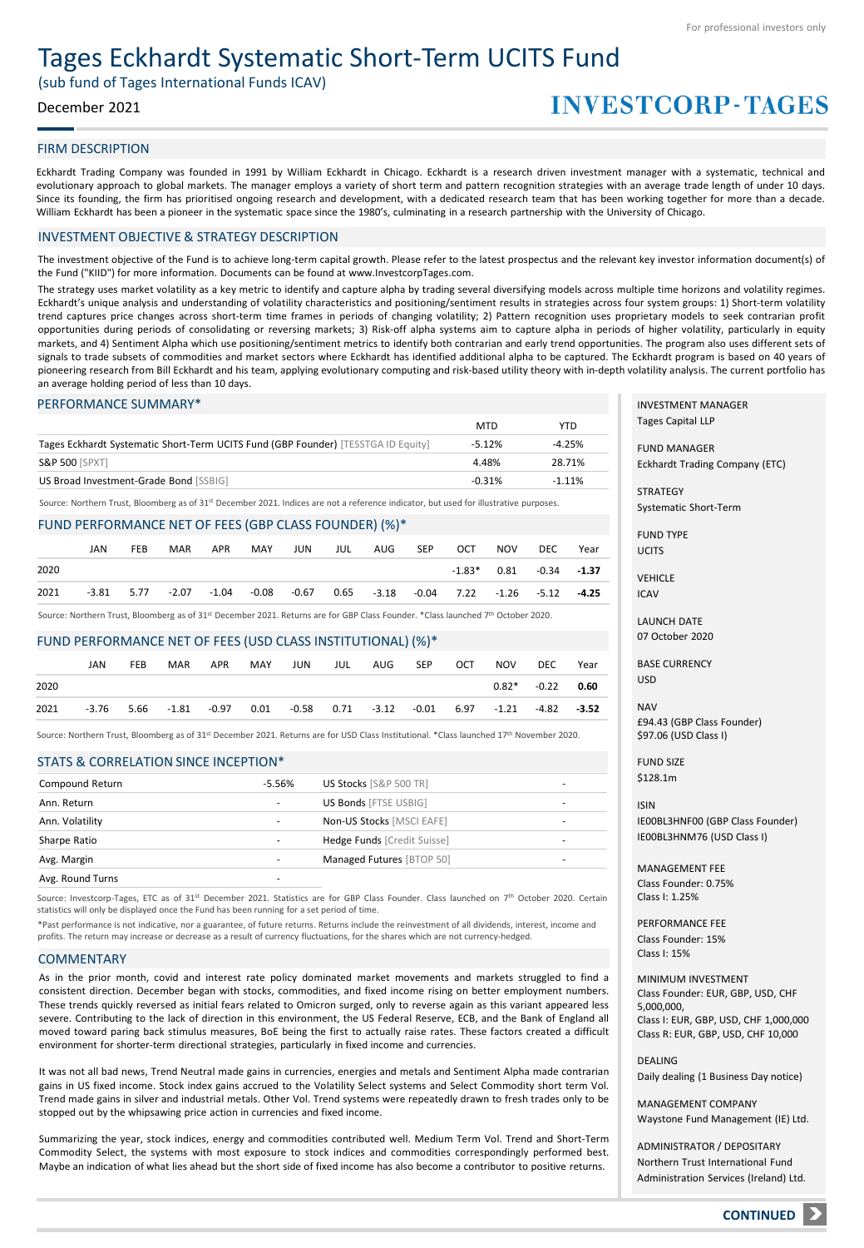# Tages Eckhardt Systematic Short-Term UCITS Fund

(sub fund of Tages International Funds ICAV)

## December 2021

# **INVESTCORP-TAGES**

### FIRM DESCRIPTION

Eckhardt Trading Company was founded in 1991 by William Eckhardt in Chicago. Eckhardt is a research driven investment manager with a systematic, technical and evolutionary approach to global markets. The manager employs a variety of short term and pattern recognition strategies with an average trade length of under 10 days. Since its founding, the firm has prioritised ongoing research and development, with a dedicated research team that has been working together for more than a decade. William Eckhardt has been a pioneer in the systematic space since the 1980's, culminating in a research partnership with the University of Chicago.

## INVESTMENT OBJECTIVE & STRATEGY DESCRIPTION

The investment objective of the Fund is to achieve long-term capital growth. Please refer to the latest prospectus and the relevant key investor information document(s) of the Fund ("KIID") for more information. Documents can be found at www.InvestcorpTages.com.

The strategy uses market volatility as a key metric to identify and capture alpha by trading several diversifying models across multiple time horizons and volatility regimes. Eckhardt's unique analysis and understanding of volatility characteristics and positioning/sentiment results in strategies across four system groups: 1) Short-term volatility trend captures price changes across short-term time frames in periods of changing volatility; 2) Pattern recognition uses proprietary models to seek contrarian profit opportunities during periods of consolidating or reversing markets; 3) Risk-off alpha systems aim to capture alpha in periods of higher volatility, particularly in equity markets, and 4) Sentiment Alpha which use positioning/sentiment metrics to identify both contrarian and early trend opportunities. The program also uses different sets of signals to trade subsets of commodities and market sectors where Eckhardt has identified additional alpha to be captured. The Eckhardt program is based on 40 years of pioneering research from Bill Eckhardt and his team, applying evolutionary computing and risk-based utility theory with in-depth volatility analysis. The current portfolio has an average holding period of less than 10 days.

### PERFORMANCE SUMMARY\*

|                                                                                   | <b>MTD</b> | YTD      |
|-----------------------------------------------------------------------------------|------------|----------|
| Tages Eckhardt Systematic Short-Term UCITS Fund (GBP Founder) [TESSTGA ID Equity] | $-5.12%$   | $-4.25%$ |
| <b>S&amp;P 500 [SPXT]</b>                                                         | 4.48%      | 28.71%   |
| US Broad Investment-Grade Bond [SSBIG]                                            | $-0.31%$   | $-1.11%$ |

Source: Northern Trust, Bloomberg as of 31st December 2021. Indices are not a reference indicator, but used for illustrative purposes.

## FUND PERFORMANCE NET OF FEES (GBP CLASS FOUNDER) (%)\*

|      | JAN          | <b>FEB</b> | MAR | APR | MAY                             | JUN | JUL | AUG                                     | <b>SEP</b> | OCT | NOV | DEC.                        | Year |
|------|--------------|------------|-----|-----|---------------------------------|-----|-----|-----------------------------------------|------------|-----|-----|-----------------------------|------|
| 2020 |              |            |     |     |                                 |     |     |                                         |            |     |     | $-1.83*$ 0.81 $-0.34$ -1.37 |      |
| 2021 | $-3.81$ 5.77 |            |     |     | $-2.07$ $-1.04$ $-0.08$ $-0.67$ |     |     | 0.65 -3.18 -0.04 7.22 -1.26 -5.12 -4.25 |            |     |     |                             |      |

Source: Northern Trust, Bloomberg as of 31<sup>st</sup> December 2021. Returns are for GBP Class Founder. \*Class launched 7<sup>th</sup> October 2020.

#### FUND PERFORMANCE NET OF FEES (USD CLASS INSTITUTIONAL) (%)\*

|      | JAN | <b>FEB</b> | <b>MAR</b> | APR | MAY | JUN                                                                                                 | <b>JUL</b> | AUG | <b>SEP</b> | OCT | <b>NOV</b> | DEC                 | Year |
|------|-----|------------|------------|-----|-----|-----------------------------------------------------------------------------------------------------|------------|-----|------------|-----|------------|---------------------|------|
| 2020 |     |            |            |     |     |                                                                                                     |            |     |            |     |            | $0.82^*$ -0.22 0.60 |      |
| 2021 |     |            |            |     |     | $-3.76$ $5.66$ $-1.81$ $-0.97$ $0.01$ $-0.58$ $0.71$ $-3.12$ $-0.01$ $6.97$ $-1.21$ $-4.82$ $-3.52$ |            |     |            |     |            |                     |      |

Source: Northern Trust, Bloomberg as of 31st December 2021. Returns are for USD Class Institutional. \*Class launched 17<sup>th</sup> November 2020.

#### STATS & CORRELATION SINCE INCEPTION\*

| Compound Return  | $-5.56%$                 | US Stocks [S&P 500 TR]       | - |
|------------------|--------------------------|------------------------------|---|
| Ann. Return      | $\overline{\phantom{a}}$ | <b>US Bonds [FTSE USBIG]</b> | - |
| Ann. Volatility  |                          | Non-US Stocks [MSCI EAFE]    | - |
| Sharpe Ratio     |                          | Hedge Funds [Credit Suisse]  | - |
| Avg. Margin      |                          | Managed Futures [BTOP 50]    | - |
| Avg. Round Turns |                          |                              |   |

Source: Investcorp-Tages, ETC as of 31st December 2021. Statistics are for GBP Class Founder. Class launched on 7<sup>th</sup> October 2020. Certain statistics will only be displayed once the Fund has been running for a set period of time.

\*Past performance is not indicative, nor a guarantee, of future returns. Returns include the reinvestment of all dividends, interest, income and profits. The return may increase or decrease as a result of currency fluctuations, for the shares which are not currency-hedged.

#### **COMMENTARY**

As in the prior month, covid and interest rate policy dominated market movements and markets struggled to find a consistent direction. December began with stocks, commodities, and fixed income rising on better employment numbers. These trends quickly reversed as initial fears related to Omicron surged, only to reverse again as this variant appeared less severe. Contributing to the lack of direction in this environment, the US Federal Reserve, ECB, and the Bank of England all moved toward paring back stimulus measures, BoE being the first to actually raise rates. These factors created a difficult environment for shorter-term directional strategies, particularly in fixed income and currencies.

It was not all bad news, Trend Neutral made gains in currencies, energies and metals and Sentiment Alpha made contrarian gains in US fixed income. Stock index gains accrued to the Volatility Select systems and Select Commodity short term Vol. Trend made gains in silver and industrial metals. Other Vol. Trend systems were repeatedly drawn to fresh trades only to be stopped out by the whipsawing price action in currencies and fixed income.

Summarizing the year, stock indices, energy and commodities contributed well. Medium Term Vol. Trend and Short-Term Commodity Select, the systems with most exposure to stock indices and commodities correspondingly performed best. Maybe an indication of what lies ahead but the short side of fixed income has also become a contributor to positive returns.

INVESTMENT MANAGER Tages Capital LLP

FUND MANAGER Eckhardt Trading Company (ETC)

STRATEGY Systematic Short-Term

FUND TYPE UCITS

VEHICLE ICAV

LAUNCH DATE 07 October 2020

BASE CURRENCY USD

**NAV** £94.43 (GBP Class Founder) \$97.06 (USD Class I)

FUND SIZE \$128.1m

ISIN IE00BL3HNF00 (GBP Class Founder) IE00BL3HNM76 (USD Class I)

MANAGEMENT FEE Class Founder: 0.75% Class I: 1.25%

PERFORMANCE FEE Class Founder: 15% Class I: 15%

MINIMUM INVESTMENT Class Founder: EUR, GBP, USD, CHF 5,000,000, Class I: EUR, GBP, USD, CHF 1,000,000 Class R: EUR, GBP, USD, CHF 10,000

DEALING Daily dealing (1 Business Day notice)

MANAGEMENT COMPANY Waystone Fund Management (IE) Ltd.

ADMINISTRATOR / DEPOSITARY Northern Trust International Fund Administration Services (Ireland) Ltd.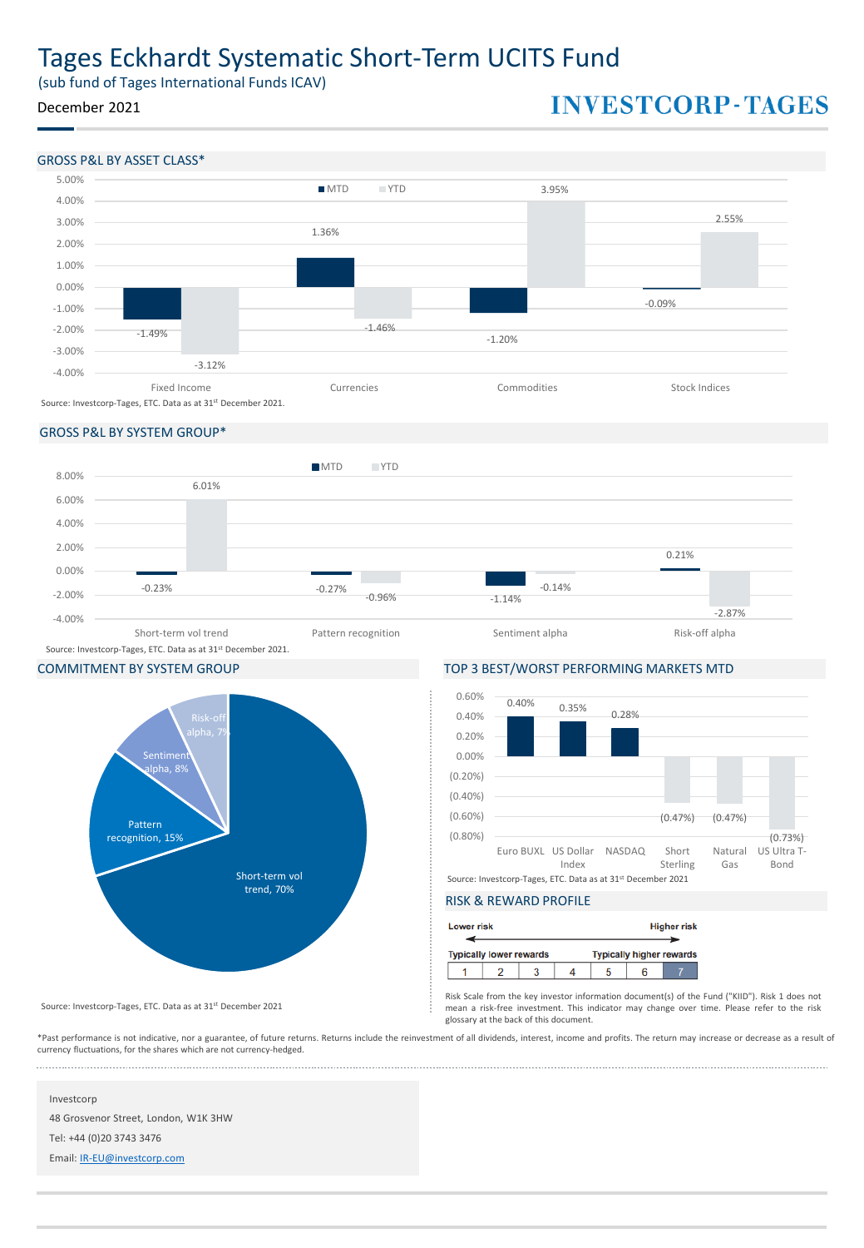# Tages Eckhardt Systematic Short-Term UCITS Fund

(sub fund of Tages International Funds ICAV)

## December 2021

# **INVESTCORP-TAGES**



## GROSS P&L BY SYSTEM GROUP\*





COMMITMENT BY SYSTEM GROUP TOP 3 BEST/WORST PERFORMING MARKETS MTD



## RISK & REWARD PROFILE

| <b>Lower risk</b> |                                |  |  | <b>Higher risk</b>              |
|-------------------|--------------------------------|--|--|---------------------------------|
|                   | <b>Typically lower rewards</b> |  |  | <b>Typically higher rewards</b> |
|                   |                                |  |  |                                 |

Risk Scale from the key investor information document(s) of the Fund ("KIID"). Risk 1 does not mean a risk-free investment. This indicator may change over time. Please refer to the risk glossary at the back of this document.

\*Past performance is not indicative, nor a guarantee, of future returns. Returns include the reinvestment of all dividends, interest, income and profits. The return may increase or decrease as a result of currency fluctuations, for the shares which are not currency-hedged.

## Investcorp

48 Grosvenor Street, London, W1K 3HW

Source: Investcorp-Tages, ETC. Data as at 31<sup>st</sup> December 2021

Tel: +44 (0)20 3743 3476

Email: [IR-EU@investcorp.com](mailto:IR-EU@investcorp.com)